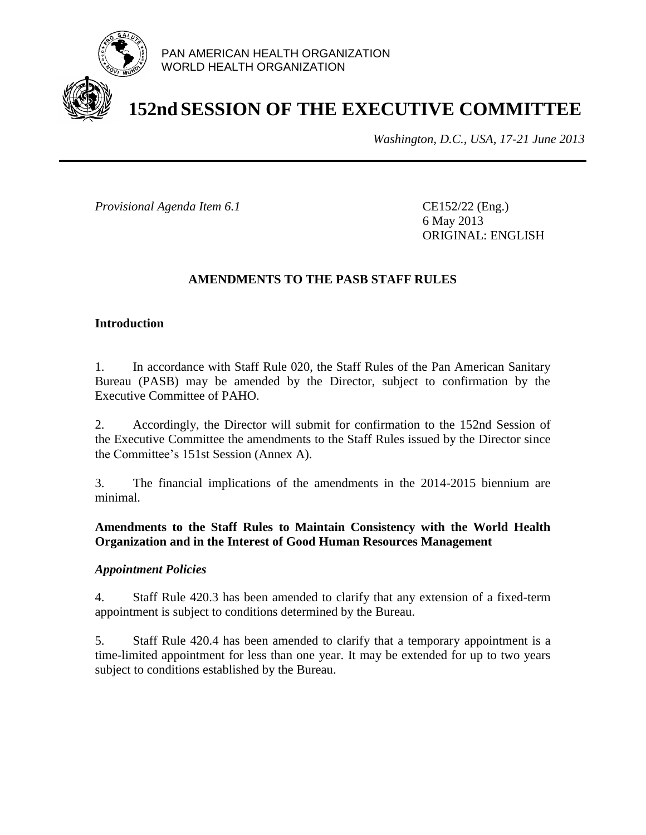

# **152nd SESSION OF THE EXECUTIVE COMMITTEE**

*Washington, D.C., USA, 17-21 June 2013*

*Provisional Agenda Item 6.1* CE152/22 (Eng.)

6 May 2013 ORIGINAL: ENGLISH

## **AMENDMENTS TO THE PASB STAFF RULES**

## **Introduction**

1. In accordance with Staff Rule 020, the Staff Rules of the Pan American Sanitary Bureau (PASB) may be amended by the Director, subject to confirmation by the Executive Committee of PAHO.

2. Accordingly, the Director will submit for confirmation to the 152nd Session of the Executive Committee the amendments to the Staff Rules issued by the Director since the Committee's 151st Session (Annex A).

3. The financial implications of the amendments in the 2014-2015 biennium are minimal.

## **Amendments to the Staff Rules to Maintain Consistency with the World Health Organization and in the Interest of Good Human Resources Management**

### *Appointment Policies*

4. Staff Rule 420.3 has been amended to clarify that any extension of a fixed-term appointment is subject to conditions determined by the Bureau.

5. Staff Rule 420.4 has been amended to clarify that a temporary appointment is a time-limited appointment for less than one year. It may be extended for up to two years subject to conditions established by the Bureau.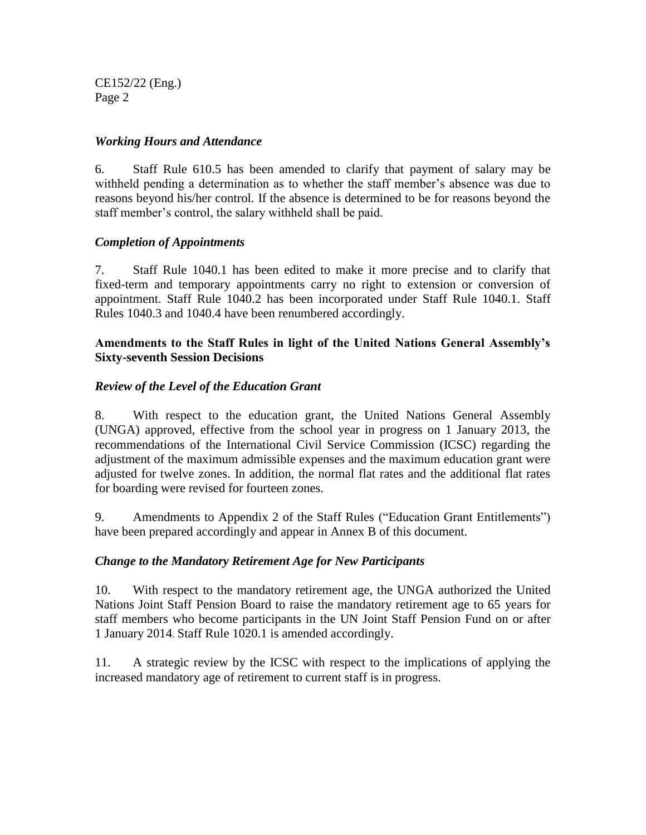CE152/22 (Eng.) Page 2

### *Working Hours and Attendance*

6. Staff Rule 610.5 has been amended to clarify that payment of salary may be withheld pending a determination as to whether the staff member's absence was due to reasons beyond his/her control. If the absence is determined to be for reasons beyond the staff member's control, the salary withheld shall be paid.

## *Completion of Appointments*

7. Staff Rule 1040.1 has been edited to make it more precise and to clarify that fixed-term and temporary appointments carry no right to extension or conversion of appointment. Staff Rule 1040.2 has been incorporated under Staff Rule 1040.1. Staff Rules 1040.3 and 1040.4 have been renumbered accordingly.

### **Amendments to the Staff Rules in light of the United Nations General Assembly's Sixty-seventh Session Decisions**

## *Review of the Level of the Education Grant*

8. With respect to the education grant, the United Nations General Assembly (UNGA) approved, effective from the school year in progress on 1 January 2013, the recommendations of the International Civil Service Commission (ICSC) regarding the adjustment of the maximum admissible expenses and the maximum education grant were adjusted for twelve zones. In addition, the normal flat rates and the additional flat rates for boarding were revised for fourteen zones.

9. Amendments to Appendix 2 of the Staff Rules ("Education Grant Entitlements") have been prepared accordingly and appear in Annex B of this document.

### *Change to the Mandatory Retirement Age for New Participants*

10. With respect to the mandatory retirement age, the UNGA authorized the United Nations Joint Staff Pension Board to raise the mandatory retirement age to 65 years for staff members who become participants in the UN Joint Staff Pension Fund on or after 1 January 2014. Staff Rule 1020.1 is amended accordingly.

11. A strategic review by the ICSC with respect to the implications of applying the increased mandatory age of retirement to current staff is in progress.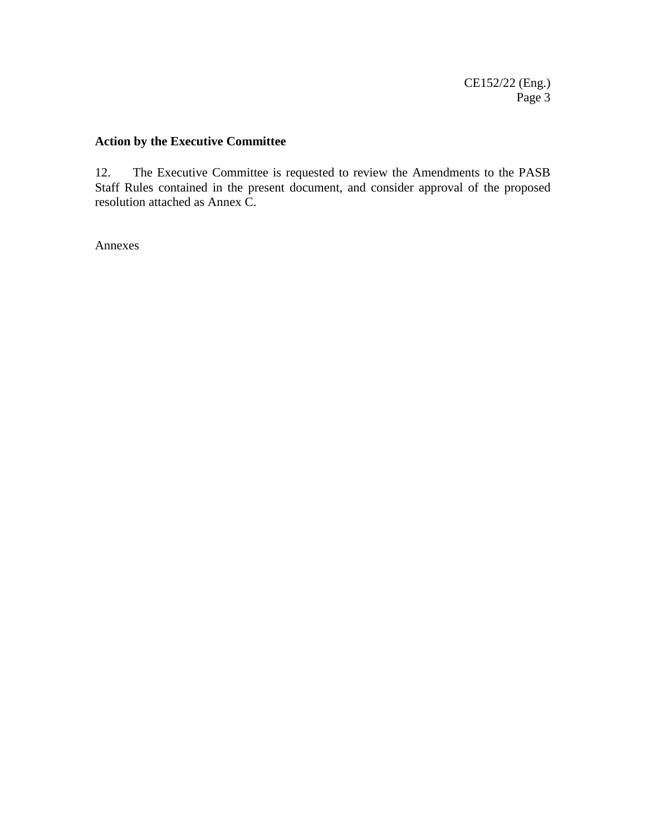# **Action by the Executive Committee**

12. The Executive Committee is requested to review the Amendments to the PASB Staff Rules contained in the present document, and consider approval of the proposed resolution attached as Annex C.

Annexes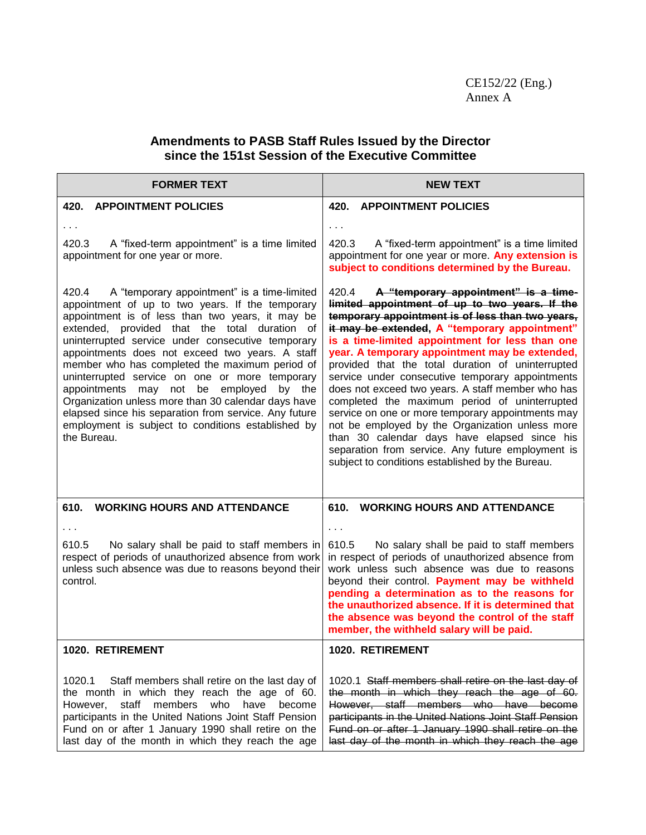## **Amendments to PASB Staff Rules Issued by the Director since the 151st Session of the Executive Committee**

| <b>FORMER TEXT</b>                                                                                                                                                                                                                                                                                                                                                                                                                                                                                                                                                                                                                                              | <b>NEW TEXT</b>                                                                                                                                                                                                                                                                                                                                                                                                                                                                                                                                                                                                                                                                                                                                                                           |  |  |  |  |
|-----------------------------------------------------------------------------------------------------------------------------------------------------------------------------------------------------------------------------------------------------------------------------------------------------------------------------------------------------------------------------------------------------------------------------------------------------------------------------------------------------------------------------------------------------------------------------------------------------------------------------------------------------------------|-------------------------------------------------------------------------------------------------------------------------------------------------------------------------------------------------------------------------------------------------------------------------------------------------------------------------------------------------------------------------------------------------------------------------------------------------------------------------------------------------------------------------------------------------------------------------------------------------------------------------------------------------------------------------------------------------------------------------------------------------------------------------------------------|--|--|--|--|
| <b>420. APPOINTMENT POLICIES</b>                                                                                                                                                                                                                                                                                                                                                                                                                                                                                                                                                                                                                                | <b>420. APPOINTMENT POLICIES</b>                                                                                                                                                                                                                                                                                                                                                                                                                                                                                                                                                                                                                                                                                                                                                          |  |  |  |  |
| 420.3<br>A "fixed-term appointment" is a time limited<br>appointment for one year or more.                                                                                                                                                                                                                                                                                                                                                                                                                                                                                                                                                                      | $\cdots$<br>420.3<br>A "fixed-term appointment" is a time limited<br>appointment for one year or more. Any extension is<br>subject to conditions determined by the Bureau.                                                                                                                                                                                                                                                                                                                                                                                                                                                                                                                                                                                                                |  |  |  |  |
| 420.4<br>A "temporary appointment" is a time-limited<br>appointment of up to two years. If the temporary<br>appointment is of less than two years, it may be<br>extended, provided that the total duration<br>of<br>uninterrupted service under consecutive temporary<br>appointments does not exceed two years. A staff<br>member who has completed the maximum period of<br>uninterrupted service on one or more temporary<br>appointments may not be employed<br>by the<br>Organization unless more than 30 calendar days have<br>elapsed since his separation from service. Any future<br>employment is subject to conditions established by<br>the Bureau. | 420.4<br>A "temporary appointment" is a time-<br>limited appointment of up to two years. If the<br>temporary appointment is of less than two years,<br>it may be extended, A "temporary appointment"<br>is a time-limited appointment for less than one<br>year. A temporary appointment may be extended,<br>provided that the total duration of uninterrupted<br>service under consecutive temporary appointments<br>does not exceed two years. A staff member who has<br>completed the maximum period of uninterrupted<br>service on one or more temporary appointments may<br>not be employed by the Organization unless more<br>than 30 calendar days have elapsed since his<br>separation from service. Any future employment is<br>subject to conditions established by the Bureau. |  |  |  |  |
| 610.<br><b>WORKING HOURS AND ATTENDANCE</b>                                                                                                                                                                                                                                                                                                                                                                                                                                                                                                                                                                                                                     | 610. WORKING HOURS AND ATTENDANCE                                                                                                                                                                                                                                                                                                                                                                                                                                                                                                                                                                                                                                                                                                                                                         |  |  |  |  |
| 610.5<br>No salary shall be paid to staff members in<br>respect of periods of unauthorized absence from work<br>unless such absence was due to reasons beyond their<br>control.                                                                                                                                                                                                                                                                                                                                                                                                                                                                                 | $\sim$ $\sim$ $\sim$<br>No salary shall be paid to staff members<br>610.5<br>in respect of periods of unauthorized absence from<br>work unless such absence was due to reasons<br>beyond their control. Payment may be withheld<br>pending a determination as to the reasons for<br>the unauthorized absence. If it is determined that<br>the absence was beyond the control of the staff<br>member, the withheld salary will be paid.                                                                                                                                                                                                                                                                                                                                                    |  |  |  |  |
| <b>1020. RETIREMENT</b>                                                                                                                                                                                                                                                                                                                                                                                                                                                                                                                                                                                                                                         | <b>1020. RETIREMENT</b>                                                                                                                                                                                                                                                                                                                                                                                                                                                                                                                                                                                                                                                                                                                                                                   |  |  |  |  |
| 1020.1<br>Staff members shall retire on the last day of<br>the month in which they reach the age of 60.<br>staff<br>members who have<br>However,<br>become<br>participants in the United Nations Joint Staff Pension<br>Fund on or after 1 January 1990 shall retire on the<br>last day of the month in which they reach the age                                                                                                                                                                                                                                                                                                                                | 1020.1 Staff members shall retire on the last day of<br>the month in which they reach the age of 60.<br>However, staff members who have become<br>participants in the United Nations Joint Staff Pension<br>Fund on or after 1 January 1990 shall retire on the<br>last day of the month in which they reach the age                                                                                                                                                                                                                                                                                                                                                                                                                                                                      |  |  |  |  |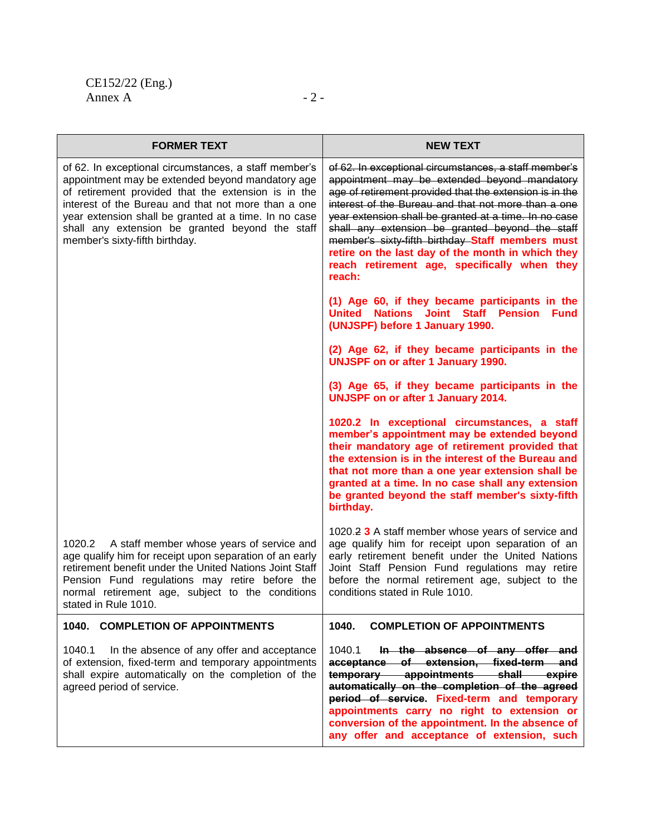| <b>FORMER TEXT</b>                                                                                                                                                                                                                                                                                                                                                    | <b>NEW TEXT</b>                                                                                                                                                                                                                                                                                                                                                                                                                                                                                        |
|-----------------------------------------------------------------------------------------------------------------------------------------------------------------------------------------------------------------------------------------------------------------------------------------------------------------------------------------------------------------------|--------------------------------------------------------------------------------------------------------------------------------------------------------------------------------------------------------------------------------------------------------------------------------------------------------------------------------------------------------------------------------------------------------------------------------------------------------------------------------------------------------|
| of 62. In exceptional circumstances, a staff member's<br>appointment may be extended beyond mandatory age<br>of retirement provided that the extension is in the<br>interest of the Bureau and that not more than a one<br>year extension shall be granted at a time. In no case<br>shall any extension be granted beyond the staff<br>member's sixty-fifth birthday. | of 62. In exceptional circumstances, a staff member's<br>appointment may be extended beyond mandatory<br>age of retirement provided that the extension is in the<br>interest of the Bureau and that not more than a one<br>year extension shall be granted at a time. In no case<br>shall any extension be granted beyond the staff<br>member's sixty-fifth birthday Staff members must<br>retire on the last day of the month in which they<br>reach retirement age, specifically when they<br>reach: |
|                                                                                                                                                                                                                                                                                                                                                                       | (1) Age 60, if they became participants in the<br>United Nations Joint Staff Pension<br><b>Fund</b><br>(UNJSPF) before 1 January 1990.                                                                                                                                                                                                                                                                                                                                                                 |
|                                                                                                                                                                                                                                                                                                                                                                       | (2) Age 62, if they became participants in the<br><b>UNJSPF on or after 1 January 1990.</b>                                                                                                                                                                                                                                                                                                                                                                                                            |
|                                                                                                                                                                                                                                                                                                                                                                       | (3) Age 65, if they became participants in the<br><b>UNJSPF on or after 1 January 2014.</b>                                                                                                                                                                                                                                                                                                                                                                                                            |
|                                                                                                                                                                                                                                                                                                                                                                       | 1020.2 In exceptional circumstances, a staff<br>member's appointment may be extended beyond<br>their mandatory age of retirement provided that<br>the extension is in the interest of the Bureau and<br>that not more than a one year extension shall be<br>granted at a time. In no case shall any extension<br>be granted beyond the staff member's sixty-fifth<br>birthday.                                                                                                                         |
| 1020.2 A staff member whose years of service and<br>age qualify him for receipt upon separation of an early<br>retirement benefit under the United Nations Joint Staff<br>Pension Fund regulations may retire before the<br>normal retirement age, subject to the conditions<br>stated in Rule 1010.                                                                  | 1020.2 3 A staff member whose years of service and<br>age qualify him for receipt upon separation of an<br>early retirement benefit under the United Nations<br>Joint Staff Pension Fund regulations may retire<br>before the normal retirement age, subject to the<br>conditions stated in Rule 1010.                                                                                                                                                                                                 |
| 1040. COMPLETION OF APPOINTMENTS                                                                                                                                                                                                                                                                                                                                      | 1040.<br><b>COMPLETION OF APPOINTMENTS</b>                                                                                                                                                                                                                                                                                                                                                                                                                                                             |
| 1040.1<br>In the absence of any offer and acceptance<br>of extension, fixed-term and temporary appointments<br>shall expire automatically on the completion of the<br>agreed period of service.                                                                                                                                                                       | 1040.1<br>In the absence of any offer and<br>acceptance of extension, fixed-term and<br>temporary appointments shall expire<br>automatically on the completion of the agreed<br>period of service. Fixed-term and temporary<br>appointments carry no right to extension or<br>conversion of the appointment. In the absence of<br>any offer and acceptance of extension, such                                                                                                                          |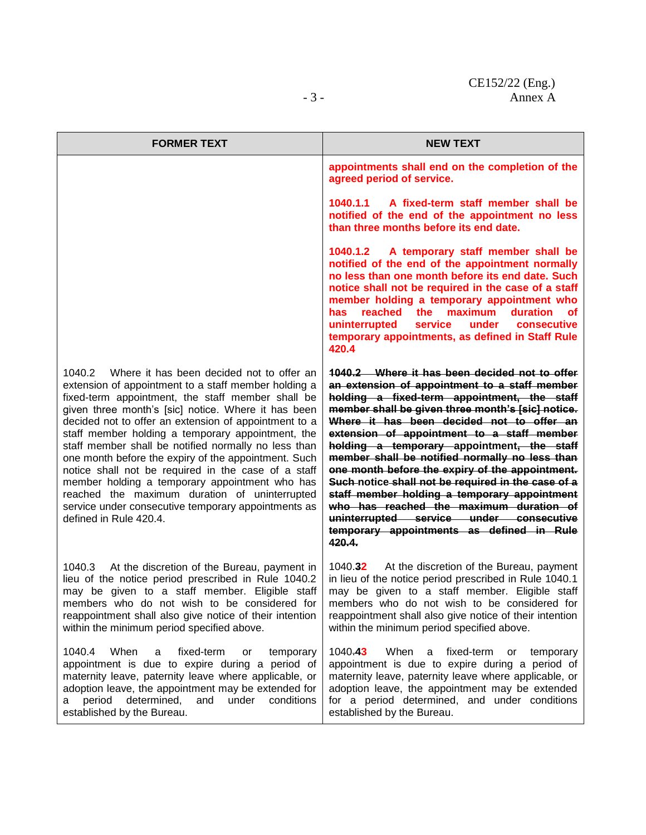| <b>FORMER TEXT</b>                                                                                                                                                                                                                                                                                                                                                                                                                                                                                                                                                                                                                                                                               | <b>NEW TEXT</b>                                                                                                                                                                                                                                                                                                                                                                                                                                                                                                                                                                                                                                                                                     |  |  |  |
|--------------------------------------------------------------------------------------------------------------------------------------------------------------------------------------------------------------------------------------------------------------------------------------------------------------------------------------------------------------------------------------------------------------------------------------------------------------------------------------------------------------------------------------------------------------------------------------------------------------------------------------------------------------------------------------------------|-----------------------------------------------------------------------------------------------------------------------------------------------------------------------------------------------------------------------------------------------------------------------------------------------------------------------------------------------------------------------------------------------------------------------------------------------------------------------------------------------------------------------------------------------------------------------------------------------------------------------------------------------------------------------------------------------------|--|--|--|
|                                                                                                                                                                                                                                                                                                                                                                                                                                                                                                                                                                                                                                                                                                  | appointments shall end on the completion of the<br>agreed period of service.                                                                                                                                                                                                                                                                                                                                                                                                                                                                                                                                                                                                                        |  |  |  |
|                                                                                                                                                                                                                                                                                                                                                                                                                                                                                                                                                                                                                                                                                                  | 1040.1.1 A fixed-term staff member shall be<br>notified of the end of the appointment no less<br>than three months before its end date.                                                                                                                                                                                                                                                                                                                                                                                                                                                                                                                                                             |  |  |  |
|                                                                                                                                                                                                                                                                                                                                                                                                                                                                                                                                                                                                                                                                                                  | 1040.1.2 A temporary staff member shall be<br>notified of the end of the appointment normally<br>no less than one month before its end date. Such<br>notice shall not be required in the case of a staff<br>member holding a temporary appointment who<br>maximum<br>duration<br>has.<br>reached<br>the<br>оf<br>uninterrupted<br>service<br>under<br>consecutive<br>temporary appointments, as defined in Staff Rule<br>420.4                                                                                                                                                                                                                                                                      |  |  |  |
| Where it has been decided not to offer an<br>1040.2<br>extension of appointment to a staff member holding a<br>fixed-term appointment, the staff member shall be<br>given three month's [sic] notice. Where it has been<br>decided not to offer an extension of appointment to a<br>staff member holding a temporary appointment, the<br>staff member shall be notified normally no less than<br>one month before the expiry of the appointment. Such<br>notice shall not be required in the case of a staff<br>member holding a temporary appointment who has<br>reached the maximum duration of uninterrupted<br>service under consecutive temporary appointments as<br>defined in Rule 420.4. | 1040.2 Where it has been decided not to offer<br>an extension of appointment to a staff member<br>holding a fixed-term appointment, the staff<br>member shall be given three month's [sic] notice.<br>Where it has been decided not to offer an<br>extension of appointment to a staff member<br>holding a temporary appointment, the staff<br>member shall be notified normally no less than<br>one month before the expiry of the appointment.<br>Such-notice-shall not be required in the case of a<br>staff member holding a temporary appointment<br>who has reached the maximum duration of<br>uninterrupted service under consecutive<br>temporary appointments as defined in Rule<br>420.4. |  |  |  |
| 1040.3 At the discretion of the Bureau, payment in<br>lieu of the notice period prescribed in Rule 1040.2<br>may be given to a staff member. Eligible staff<br>members who do not wish to be considered for<br>reappointment shall also give notice of their intention<br>within the minimum period specified above.                                                                                                                                                                                                                                                                                                                                                                             | 1040.32<br>At the discretion of the Bureau, payment<br>in lieu of the notice period prescribed in Rule 1040.1<br>may be given to a staff member. Eligible staff<br>members who do not wish to be considered for<br>reappointment shall also give notice of their intention<br>within the minimum period specified above.                                                                                                                                                                                                                                                                                                                                                                            |  |  |  |
| 1040.4<br>When<br>fixed-term<br>temporary<br>a<br>or<br>appointment is due to expire during a period of<br>maternity leave, paternity leave where applicable, or<br>adoption leave, the appointment may be extended for<br>period<br>determined,<br>under<br>conditions<br>and<br>a<br>established by the Bureau.                                                                                                                                                                                                                                                                                                                                                                                | 1040.43<br>When<br>a fixed-term<br>or<br>temporary<br>appointment is due to expire during a period of<br>maternity leave, paternity leave where applicable, or<br>adoption leave, the appointment may be extended<br>for a period determined, and under conditions<br>established by the Bureau.                                                                                                                                                                                                                                                                                                                                                                                                    |  |  |  |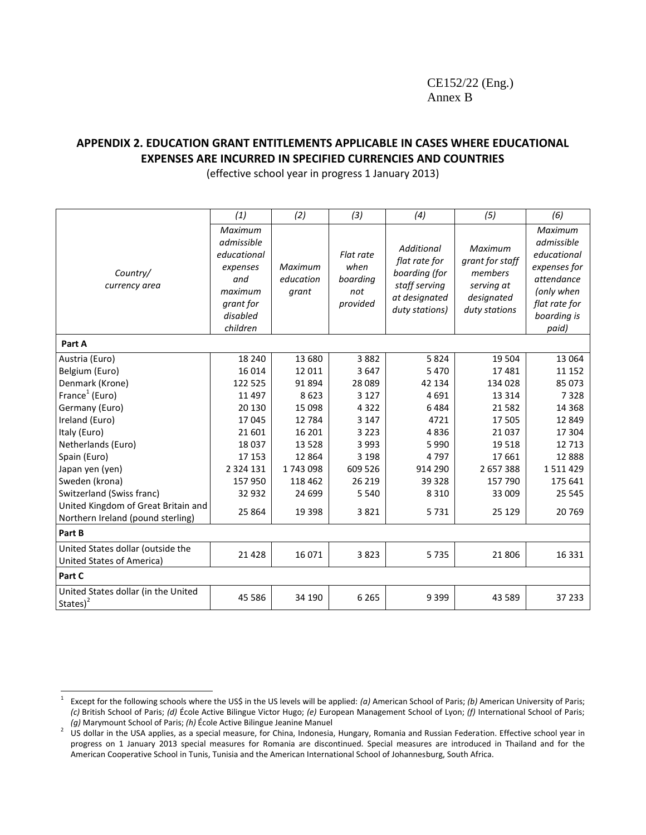## **APPENDIX 2. EDUCATION GRANT ENTITLEMENTS APPLICABLE IN CASES WHERE EDUCATIONAL EXPENSES ARE INCURRED IN SPECIFIED CURRENCIES AND COUNTRIES**

(effective school year in progress 1 January 2013)

|                                                                          | (1)                                                                                                     | (2)                           | (3)                                              | (4)                                                                                                     | (5)                                                                                | (6)                                                                                                                       |
|--------------------------------------------------------------------------|---------------------------------------------------------------------------------------------------------|-------------------------------|--------------------------------------------------|---------------------------------------------------------------------------------------------------------|------------------------------------------------------------------------------------|---------------------------------------------------------------------------------------------------------------------------|
| Country/<br>currency area                                                | Maximum<br>admissible<br>educational<br>expenses<br>and<br>maximum<br>grant for<br>disabled<br>children | Maximum<br>education<br>grant | Flat rate<br>when<br>boarding<br>not<br>provided | <b>Additional</b><br>flat rate for<br>boarding (for<br>staff serving<br>at designated<br>duty stations) | Maximum<br>grant for staff<br>members<br>serving at<br>designated<br>duty stations | Maximum<br>admissible<br>educational<br>expenses for<br>attendance<br>(only when<br>flat rate for<br>boarding is<br>paid) |
| Part A                                                                   |                                                                                                         |                               |                                                  |                                                                                                         |                                                                                    |                                                                                                                           |
| Austria (Euro)                                                           | 18 240                                                                                                  | 13 680                        | 3882                                             | 5824                                                                                                    | 19 504                                                                             | 13 0 64                                                                                                                   |
| Belgium (Euro)                                                           | 16 0 14                                                                                                 | 12 011                        | 3647                                             | 5470                                                                                                    | 17481                                                                              | 11 152                                                                                                                    |
| Denmark (Krone)                                                          | 122 525                                                                                                 | 91 894                        | 28 0 89                                          | 42 134                                                                                                  | 134 028                                                                            | 85 073                                                                                                                    |
| France <sup>1</sup> (Euro)                                               | 11 4 97                                                                                                 | 8623                          | 3 1 2 7                                          | 4691                                                                                                    | 13 3 14                                                                            | 7328                                                                                                                      |
| Germany (Euro)                                                           | 20 130                                                                                                  | 15 098                        | 4 3 2 2                                          | 6484                                                                                                    | 21 5 82                                                                            | 14 3 68                                                                                                                   |
| Ireland (Euro)                                                           | 17045                                                                                                   | 12 7 84                       | 3 1 4 7                                          | 4721                                                                                                    | 17 505                                                                             | 12 849                                                                                                                    |
| Italy (Euro)                                                             | 21 601                                                                                                  | 16 201                        | 3 2 2 3                                          | 4836                                                                                                    | 21 0 37                                                                            | 17 304                                                                                                                    |
| Netherlands (Euro)                                                       | 18 0 37                                                                                                 | 13 5 28                       | 3 9 9 3                                          | 5 9 9 0                                                                                                 | 19518                                                                              | 12 7 13                                                                                                                   |
| Spain (Euro)                                                             | 17 153                                                                                                  | 12 8 64                       | 3 1 9 8                                          | 4797                                                                                                    | 17 661                                                                             | 12 8 88                                                                                                                   |
| Japan yen (yen)                                                          | 2 3 2 4 1 3 1                                                                                           | 1743098                       | 609 526                                          | 914 290                                                                                                 | 2 657 388                                                                          | 1 5 1 1 4 2 9                                                                                                             |
| Sweden (krona)                                                           | 157 950                                                                                                 | 118 462                       | 26 219                                           | 39 328                                                                                                  | 157 790                                                                            | 175 641                                                                                                                   |
| Switzerland (Swiss franc)                                                | 32 932                                                                                                  | 24 699                        | 5 5 4 0                                          | 8 3 1 0                                                                                                 | 33 009                                                                             | 25 545                                                                                                                    |
| United Kingdom of Great Britain and<br>Northern Ireland (pound sterling) | 25 8 64                                                                                                 | 19 3 98                       | 3821                                             | 5731                                                                                                    | 25 1 29                                                                            | 20 769                                                                                                                    |
| Part B                                                                   |                                                                                                         |                               |                                                  |                                                                                                         |                                                                                    |                                                                                                                           |
| United States dollar (outside the<br>United States of America)           | 21 4 28                                                                                                 | 16 071                        | 3823                                             | 5735                                                                                                    | 21 806                                                                             | 16 3 31                                                                                                                   |
| Part C                                                                   |                                                                                                         |                               |                                                  |                                                                                                         |                                                                                    |                                                                                                                           |
| United States dollar (in the United<br>States $)^2$                      | 45 5 86                                                                                                 | 34 190                        | 6 2 6 5                                          | 9 3 9 9                                                                                                 | 43 589                                                                             | 37 233                                                                                                                    |

 $\frac{1}{1}$ Except for the following schools where the US\$ in the US levels will be applied: *(a)* American School of Paris; *(b)* American University of Paris; *(c)* British School of Paris; *(d)* École Active Bilingue Victor Hugo; *(e)* European Management School of Lyon; *(f)* International School of Paris; *(g)* Marymount School of Paris; *(h)* École Active Bilingue Jeanine Manuel

 $^2$  US dollar in the USA applies, as a special measure, for China, Indonesia, Hungary, Romania and Russian Federation. Effective school year in progress on 1 January 2013 special measures for Romania are discontinued. Special measures are introduced in Thailand and for the American Cooperative School in Tunis, Tunisia and the American International School of Johannesburg, South Africa.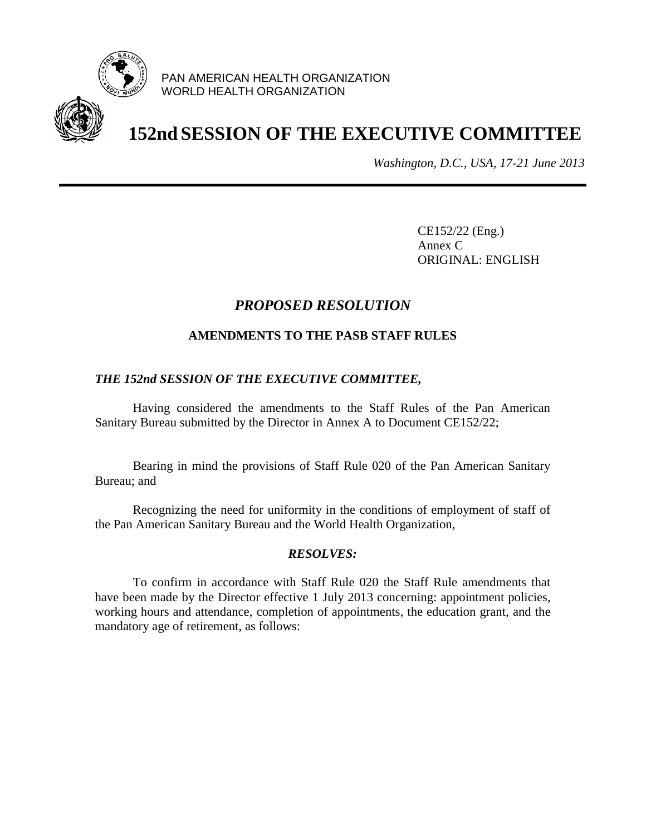

PAN AMERICAN HEALTH ORGANIZATION WORLD HEALTH ORGANIZATION

# **152nd SESSION OF THE EXECUTIVE COMMITTEE**

*Washington, D.C., USA, 17-21 June 2013*

CE152/22 (Eng.) Annex C ORIGINAL: ENGLISH

# *PROPOSED RESOLUTION*

## **AMENDMENTS TO THE PASB STAFF RULES**

## *THE 152nd SESSION OF THE EXECUTIVE COMMITTEE,*

Having considered the amendments to the Staff Rules of the Pan American Sanitary Bureau submitted by the Director in Annex A to Document CE152/22;

Bearing in mind the provisions of Staff Rule 020 of the Pan American Sanitary Bureau; and

Recognizing the need for uniformity in the conditions of employment of staff of the Pan American Sanitary Bureau and the World Health Organization,

### *RESOLVES:*

To confirm in accordance with Staff Rule 020 the Staff Rule amendments that have been made by the Director effective 1 July 2013 concerning: appointment policies, working hours and attendance, completion of appointments, the education grant, and the mandatory age of retirement, as follows: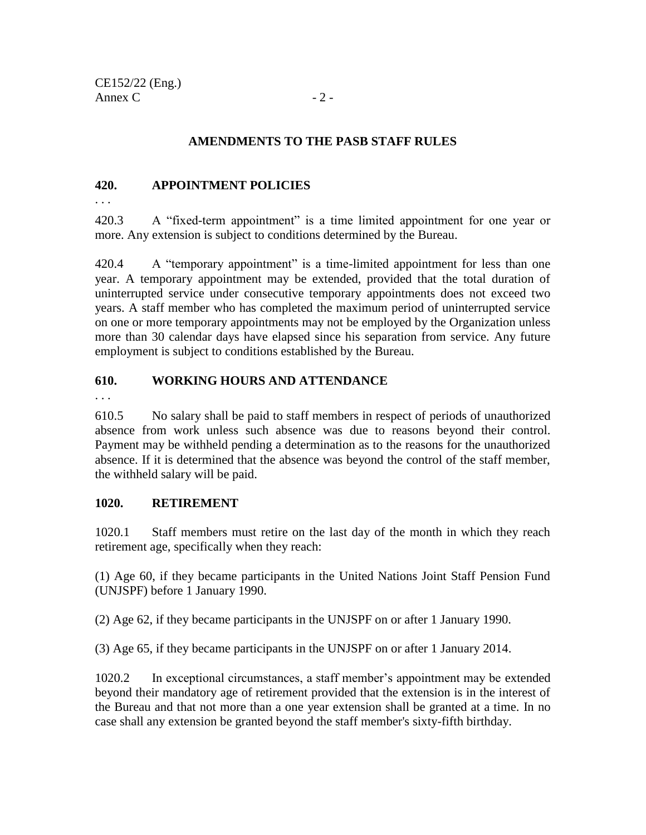## **AMENDMENTS TO THE PASB STAFF RULES**

## **420. APPOINTMENT POLICIES**

. . .

420.3 A "fixed-term appointment" is a time limited appointment for one year or more. Any extension is subject to conditions determined by the Bureau.

420.4 A "temporary appointment" is a time-limited appointment for less than one year. A temporary appointment may be extended, provided that the total duration of uninterrupted service under consecutive temporary appointments does not exceed two years. A staff member who has completed the maximum period of uninterrupted service on one or more temporary appointments may not be employed by the Organization unless more than 30 calendar days have elapsed since his separation from service. Any future employment is subject to conditions established by the Bureau.

## **610. WORKING HOURS AND ATTENDANCE**

. . .

610.5 No salary shall be paid to staff members in respect of periods of unauthorized absence from work unless such absence was due to reasons beyond their control. Payment may be withheld pending a determination as to the reasons for the unauthorized absence. If it is determined that the absence was beyond the control of the staff member, the withheld salary will be paid.

### **1020. RETIREMENT**

1020.1 Staff members must retire on the last day of the month in which they reach retirement age, specifically when they reach:

(1) Age 60, if they became participants in the United Nations Joint Staff Pension Fund (UNJSPF) before 1 January 1990.

(2) Age 62, if they became participants in the UNJSPF on or after 1 January 1990.

(3) Age 65, if they became participants in the UNJSPF on or after 1 January 2014.

1020.2 In exceptional circumstances, a staff member's appointment may be extended beyond their mandatory age of retirement provided that the extension is in the interest of the Bureau and that not more than a one year extension shall be granted at a time. In no case shall any extension be granted beyond the staff member's sixty-fifth birthday.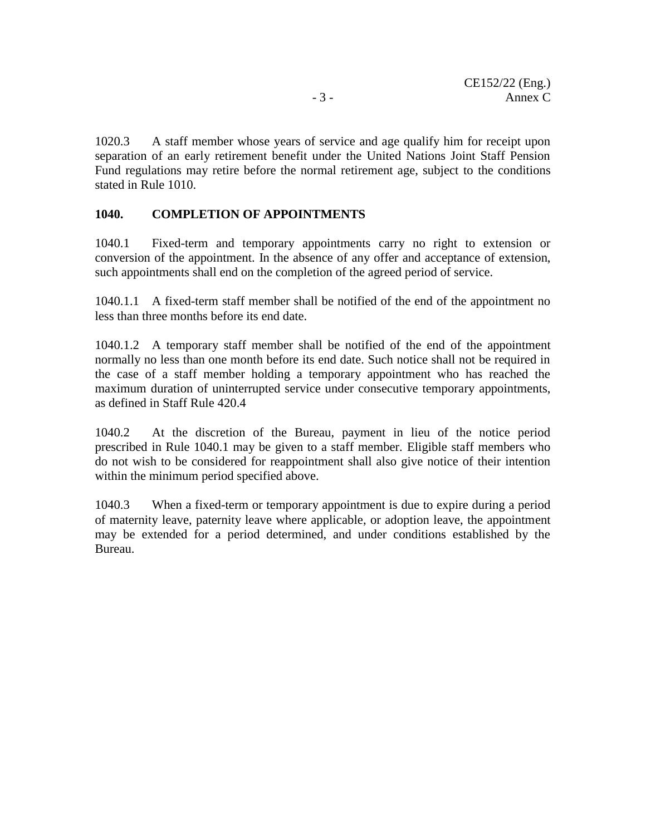1020.3 A staff member whose years of service and age qualify him for receipt upon separation of an early retirement benefit under the United Nations Joint Staff Pension Fund regulations may retire before the normal retirement age, subject to the conditions stated in Rule 1010.

## **1040. COMPLETION OF APPOINTMENTS**

1040.1 Fixed-term and temporary appointments carry no right to extension or conversion of the appointment. In the absence of any offer and acceptance of extension, such appointments shall end on the completion of the agreed period of service.

1040.1.1 A fixed-term staff member shall be notified of the end of the appointment no less than three months before its end date.

1040.1.2 A temporary staff member shall be notified of the end of the appointment normally no less than one month before its end date. Such notice shall not be required in the case of a staff member holding a temporary appointment who has reached the maximum duration of uninterrupted service under consecutive temporary appointments, as defined in Staff Rule 420.4

1040.2 At the discretion of the Bureau, payment in lieu of the notice period prescribed in Rule 1040.1 may be given to a staff member. Eligible staff members who do not wish to be considered for reappointment shall also give notice of their intention within the minimum period specified above.

1040.3 When a fixed-term or temporary appointment is due to expire during a period of maternity leave, paternity leave where applicable, or adoption leave, the appointment may be extended for a period determined, and under conditions established by the Bureau.